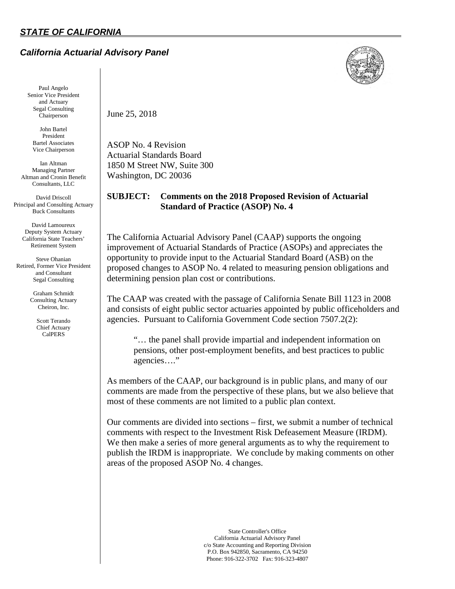# *California Actuarial Advisory Panel*



Paul Angelo Senior Vice President and Actuary Segal Consulting Chairperson

John Bartel President Bartel Associates Vice Chairperson

Ian Altman Managing Partner Altman and Cronin Benefit Consultants, LLC

David Driscoll Principal and Consulting Actuary Buck Consultants

> David Lamoureux Deputy System Actuary California State Teachers' Retirement System

Steve Ohanian Retired, Former Vice President and Consultant Segal Consulting

> Graham Schmidt Consulting Actuary Cheiron, Inc.

> > Scott Terando Chief Actuary CalPERS

June 25, 2018

ASOP No. 4 Revision Actuarial Standards Board 1850 M Street NW, Suite 300 Washington, DC 20036

# **SUBJECT: Comments on the 2018 Proposed Revision of Actuarial Standard of Practice (ASOP) No. 4**

The California Actuarial Advisory Panel (CAAP) supports the ongoing improvement of Actuarial Standards of Practice (ASOPs) and appreciates the opportunity to provide input to the Actuarial Standard Board (ASB) on the proposed changes to ASOP No. 4 related to measuring pension obligations and determining pension plan cost or contributions.

The CAAP was created with the passage of California Senate Bill 1123 in 2008 and consists of eight public sector actuaries appointed by public officeholders and agencies. Pursuant to California Government Code section 7507.2(2):

"… the panel shall provide impartial and independent information on pensions, other post-employment benefits, and best practices to public agencies…."

As members of the CAAP, our background is in public plans, and many of our comments are made from the perspective of these plans, but we also believe that most of these comments are not limited to a public plan context.

Our comments are divided into sections – first, we submit a number of technical comments with respect to the Investment Risk Defeasement Measure (IRDM). We then make a series of more general arguments as to why the requirement to publish the IRDM is inappropriate. We conclude by making comments on other areas of the proposed ASOP No. 4 changes.

> State Controller's Office California Actuarial Advisory Panel c/o State Accounting and Reporting Division P.O. Box 942850, Sacramento, CA 94250 Phone: 916-322-3702 Fax: 916-323-4807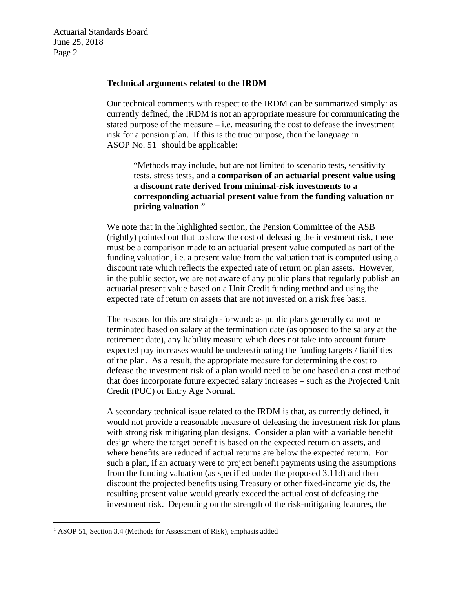Actuarial Standards Board June 25, 2018 Page 2

### **Technical arguments related to the IRDM**

Our technical comments with respect to the IRDM can be summarized simply: as currently defined, the IRDM is not an appropriate measure for communicating the stated purpose of the measure – i.e. measuring the cost to defease the investment risk for a pension plan. If this is the true purpose, then the language in ASOP No.  $51<sup>1</sup>$  $51<sup>1</sup>$  $51<sup>1</sup>$  should be applicable:

"Methods may include, but are not limited to scenario tests, sensitivity tests, stress tests, and a **comparison of an actuarial present value using a discount rate derived from minimal-risk investments to a corresponding actuarial present value from the funding valuation or pricing valuation**."

We note that in the highlighted section, the Pension Committee of the ASB (rightly) pointed out that to show the cost of defeasing the investment risk, there must be a comparison made to an actuarial present value computed as part of the funding valuation, i.e. a present value from the valuation that is computed using a discount rate which reflects the expected rate of return on plan assets. However, in the public sector, we are not aware of any public plans that regularly publish an actuarial present value based on a Unit Credit funding method and using the expected rate of return on assets that are not invested on a risk free basis.

The reasons for this are straight-forward: as public plans generally cannot be terminated based on salary at the termination date (as opposed to the salary at the retirement date), any liability measure which does not take into account future expected pay increases would be underestimating the funding targets / liabilities of the plan. As a result, the appropriate measure for determining the cost to defease the investment risk of a plan would need to be one based on a cost method that does incorporate future expected salary increases – such as the Projected Unit Credit (PUC) or Entry Age Normal.

A secondary technical issue related to the IRDM is that, as currently defined, it would not provide a reasonable measure of defeasing the investment risk for plans with strong risk mitigating plan designs. Consider a plan with a variable benefit design where the target benefit is based on the expected return on assets, and where benefits are reduced if actual returns are below the expected return. For such a plan, if an actuary were to project benefit payments using the assumptions from the funding valuation (as specified under the proposed 3.11d) and then discount the projected benefits using Treasury or other fixed-income yields, the resulting present value would greatly exceed the actual cost of defeasing the investment risk. Depending on the strength of the risk-mitigating features, the

<span id="page-1-0"></span><sup>&</sup>lt;sup>1</sup> ASOP 51, Section 3.4 (Methods for Assessment of Risk), emphasis added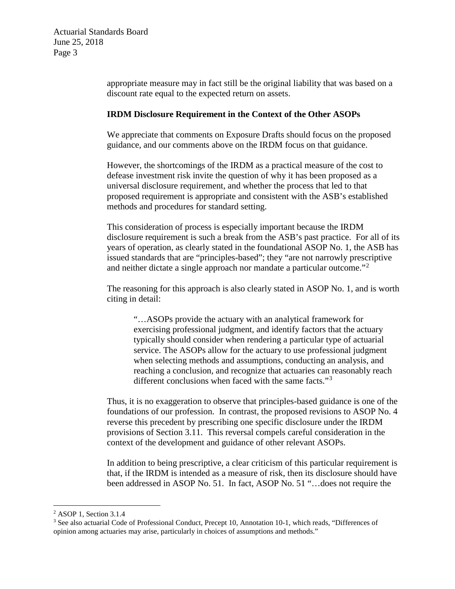appropriate measure may in fact still be the original liability that was based on a discount rate equal to the expected return on assets.

## **IRDM Disclosure Requirement in the Context of the Other ASOPs**

We appreciate that comments on Exposure Drafts should focus on the proposed guidance, and our comments above on the IRDM focus on that guidance.

However, the shortcomings of the IRDM as a practical measure of the cost to defease investment risk invite the question of why it has been proposed as a universal disclosure requirement, and whether the process that led to that proposed requirement is appropriate and consistent with the ASB's established methods and procedures for standard setting.

This consideration of process is especially important because the IRDM disclosure requirement is such a break from the ASB's past practice. For all of its years of operation, as clearly stated in the foundational ASOP No. 1, the ASB has issued standards that are "principles-based"; they "are not narrowly prescriptive and neither dictate a single approach nor mandate a particular outcome."<sup>[2](#page-2-0)</sup>

The reasoning for this approach is also clearly stated in ASOP No. 1, and is worth citing in detail:

"…ASOPs provide the actuary with an analytical framework for exercising professional judgment, and identify factors that the actuary typically should consider when rendering a particular type of actuarial service. The ASOPs allow for the actuary to use professional judgment when selecting methods and assumptions, conducting an analysis, and reaching a conclusion, and recognize that actuaries can reasonably reach different conclusions when faced with the same facts."<sup>[3](#page-2-1)</sup>

Thus, it is no exaggeration to observe that principles-based guidance is one of the foundations of our profession. In contrast, the proposed revisions to ASOP No. 4 reverse this precedent by prescribing one specific disclosure under the IRDM provisions of Section 3.11. This reversal compels careful consideration in the context of the development and guidance of other relevant ASOPs.

In addition to being prescriptive, a clear criticism of this particular requirement is that, if the IRDM is intended as a measure of risk, then its disclosure should have been addressed in ASOP No. 51. In fact, ASOP No. 51 "…does not require the

<span id="page-2-0"></span> <sup>2</sup> ASOP 1, Section 3.1.4

<span id="page-2-1"></span><sup>&</sup>lt;sup>3</sup> See also actuarial Code of Professional Conduct, Precept 10, Annotation 10-1, which reads, "Differences of opinion among actuaries may arise, particularly in choices of assumptions and methods."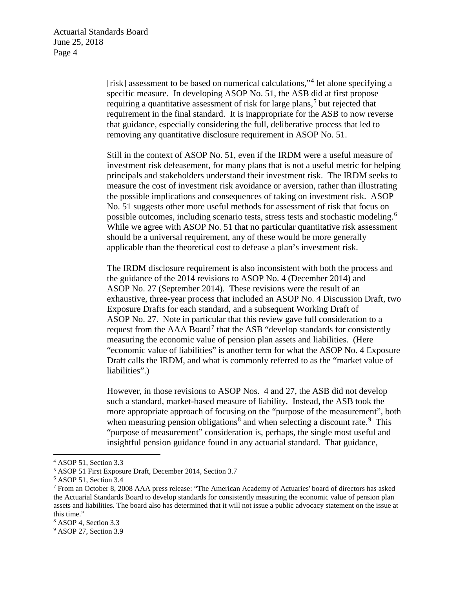[risk] assessment to be based on numerical calculations,"[4](#page-3-0) let alone specifying a specific measure. In developing ASOP No. 51, the ASB did at first propose requiring a quantitative assessment of risk for large plans,<sup>[5](#page-3-1)</sup> but rejected that requirement in the final standard. It is inappropriate for the ASB to now reverse that guidance, especially considering the full, deliberative process that led to removing any quantitative disclosure requirement in ASOP No. 51.

Still in the context of ASOP No. 51, even if the IRDM were a useful measure of investment risk defeasement, for many plans that is not a useful metric for helping principals and stakeholders understand their investment risk. The IRDM seeks to measure the cost of investment risk avoidance or aversion, rather than illustrating the possible implications and consequences of taking on investment risk. ASOP No. 51 suggests other more useful methods for assessment of risk that focus on possible outcomes, including scenario tests, stress tests and stochastic modeling.<sup>[6](#page-3-2)</sup> While we agree with ASOP No. 51 that no particular quantitative risk assessment should be a universal requirement, any of these would be more generally applicable than the theoretical cost to defease a plan's investment risk.

The IRDM disclosure requirement is also inconsistent with both the process and the guidance of the 2014 revisions to ASOP No. 4 (December 2014) and ASOP No. 27 (September 2014). These revisions were the result of an exhaustive, three-year process that included an ASOP No. 4 Discussion Draft, two Exposure Drafts for each standard, and a subsequent Working Draft of ASOP No. 27. Note in particular that this review gave full consideration to a request from the  $AAA$  Board<sup>[7](#page-3-3)</sup> that the  $ASB$  "develop standards for consistently measuring the economic value of pension plan assets and liabilities. (Here "economic value of liabilities" is another term for what the ASOP No. 4 Exposure Draft calls the IRDM, and what is commonly referred to as the "market value of liabilities".)

However, in those revisions to ASOP Nos. 4 and 27, the ASB did not develop such a standard, market-based measure of liability. Instead, the ASB took the more appropriate approach of focusing on the "purpose of the measurement", both when measuring pension obligations<sup>[8](#page-3-4)</sup> and when selecting a discount rate.<sup>[9](#page-3-5)</sup> This "purpose of measurement" consideration is, perhaps, the single most useful and insightful pension guidance found in any actuarial standard. That guidance,

<span id="page-3-0"></span> <sup>4</sup> ASOP 51, Section 3.3

<span id="page-3-1"></span><sup>5</sup> ASOP 51 First Exposure Draft, December 2014, Section 3.7

<span id="page-3-2"></span><sup>6</sup> ASOP 51, Section 3.4

<span id="page-3-3"></span><sup>7</sup> From an October 8, 2008 AAA press release: "The American Academy of Actuaries' board of directors has asked the Actuarial Standards Board to develop standards for consistently measuring the economic value of pension plan assets and liabilities. The board also has determined that it will not issue a public advocacy statement on the issue at this time."

<span id="page-3-4"></span><sup>8</sup> ASOP 4, Section 3.3

<span id="page-3-5"></span><sup>&</sup>lt;sup>9</sup> ASOP 27, Section 3.9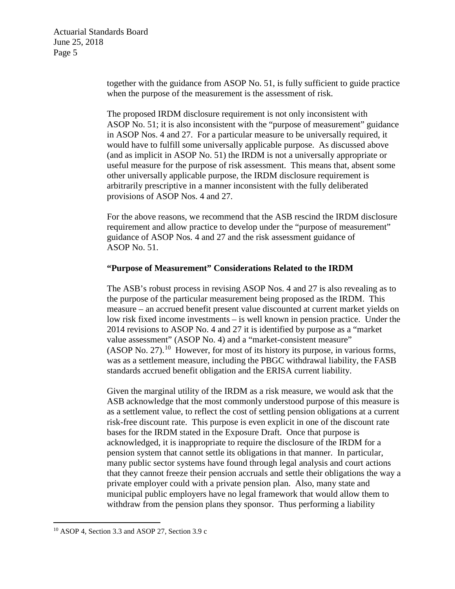together with the guidance from ASOP No. 51, is fully sufficient to guide practice when the purpose of the measurement is the assessment of risk.

The proposed IRDM disclosure requirement is not only inconsistent with ASOP No. 51; it is also inconsistent with the "purpose of measurement" guidance in ASOP Nos. 4 and 27. For a particular measure to be universally required, it would have to fulfill some universally applicable purpose. As discussed above (and as implicit in ASOP No. 51) the IRDM is not a universally appropriate or useful measure for the purpose of risk assessment. This means that, absent some other universally applicable purpose, the IRDM disclosure requirement is arbitrarily prescriptive in a manner inconsistent with the fully deliberated provisions of ASOP Nos. 4 and 27.

For the above reasons, we recommend that the ASB rescind the IRDM disclosure requirement and allow practice to develop under the "purpose of measurement" guidance of ASOP Nos. 4 and 27 and the risk assessment guidance of ASOP No. 51.

## **"Purpose of Measurement" Considerations Related to the IRDM**

The ASB's robust process in revising ASOP Nos. 4 and 27 is also revealing as to the purpose of the particular measurement being proposed as the IRDM. This measure – an accrued benefit present value discounted at current market yields on low risk fixed income investments – is well known in pension practice. Under the 2014 revisions to ASOP No. 4 and 27 it is identified by purpose as a "market value assessment" (ASOP No. 4) and a "market-consistent measure"  $(ASOP No. 27).$ <sup>[10](#page-4-0)</sup> However, for most of its history its purpose, in various forms, was as a settlement measure, including the PBGC withdrawal liability, the FASB standards accrued benefit obligation and the ERISA current liability.

Given the marginal utility of the IRDM as a risk measure, we would ask that the ASB acknowledge that the most commonly understood purpose of this measure is as a settlement value, to reflect the cost of settling pension obligations at a current risk-free discount rate. This purpose is even explicit in one of the discount rate bases for the IRDM stated in the Exposure Draft. Once that purpose is acknowledged, it is inappropriate to require the disclosure of the IRDM for a pension system that cannot settle its obligations in that manner. In particular, many public sector systems have found through legal analysis and court actions that they cannot freeze their pension accruals and settle their obligations the way a private employer could with a private pension plan. Also, many state and municipal public employers have no legal framework that would allow them to withdraw from the pension plans they sponsor. Thus performing a liability

<span id="page-4-0"></span> $10$  ASOP 4, Section 3.3 and ASOP 27, Section 3.9 c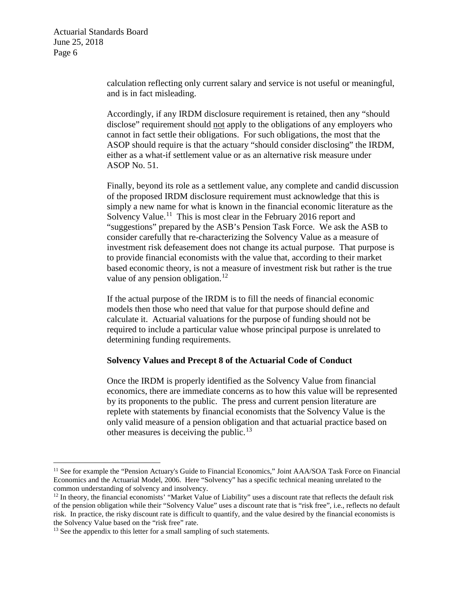Actuarial Standards Board June 25, 2018 Page 6

> calculation reflecting only current salary and service is not useful or meaningful, and is in fact misleading.

> Accordingly, if any IRDM disclosure requirement is retained, then any "should disclose" requirement should not apply to the obligations of any employers who cannot in fact settle their obligations. For such obligations, the most that the ASOP should require is that the actuary "should consider disclosing" the IRDM, either as a what-if settlement value or as an alternative risk measure under ASOP No. 51.

Finally, beyond its role as a settlement value, any complete and candid discussion of the proposed IRDM disclosure requirement must acknowledge that this is simply a new name for what is known in the financial economic literature as the Solvency Value.<sup>11</sup> This is most clear in the February 2016 report and "suggestions" prepared by the ASB's Pension Task Force. We ask the ASB to consider carefully that re-characterizing the Solvency Value as a measure of investment risk defeasement does not change its actual purpose. That purpose is to provide financial economists with the value that, according to their market based economic theory, is not a measure of investment risk but rather is the true value of any pension obligation. $12$ 

If the actual purpose of the IRDM is to fill the needs of financial economic models then those who need that value for that purpose should define and calculate it. Actuarial valuations for the purpose of funding should not be required to include a particular value whose principal purpose is unrelated to determining funding requirements.

#### **Solvency Values and Precept 8 of the Actuarial Code of Conduct**

Once the IRDM is properly identified as the Solvency Value from financial economics, there are immediate concerns as to how this value will be represented by its proponents to the public. The press and current pension literature are replete with statements by financial economists that the Solvency Value is the only valid measure of a pension obligation and that actuarial practice based on other measures is deceiving the public.<sup>[13](#page-5-2)</sup>

<span id="page-5-0"></span><sup>&</sup>lt;sup>11</sup> See for example the "Pension Actuary's Guide to Financial Economics," Joint AAA/SOA Task Force on Financial Economics and the Actuarial Model, 2006. Here "Solvency" has a specific technical meaning unrelated to the common understanding of solvency and insolvency.

<span id="page-5-1"></span> $12$  In theory, the financial economists' "Market Value of Liability" uses a discount rate that reflects the default risk of the pension obligation while their "Solvency Value" uses a discount rate that is "risk free", i.e., reflects no default risk. In practice, the risky discount rate is difficult to quantify, and the value desired by the financial economists is the Solvency Value based on the "risk free" rate.<br><sup>13</sup> See the appendix to this letter for a small sampling of such statements.

<span id="page-5-2"></span>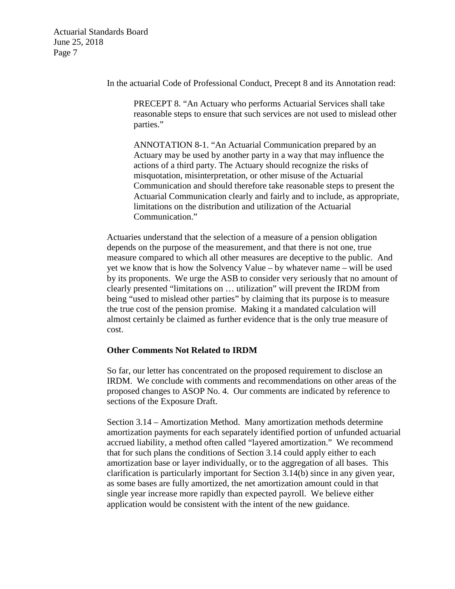Actuarial Standards Board June 25, 2018 Page 7

In the actuarial Code of Professional Conduct, Precept 8 and its Annotation read:

PRECEPT 8. "An Actuary who performs Actuarial Services shall take reasonable steps to ensure that such services are not used to mislead other parties."

ANNOTATION 8-1. "An Actuarial Communication prepared by an Actuary may be used by another party in a way that may influence the actions of a third party. The Actuary should recognize the risks of misquotation, misinterpretation, or other misuse of the Actuarial Communication and should therefore take reasonable steps to present the Actuarial Communication clearly and fairly and to include, as appropriate, limitations on the distribution and utilization of the Actuarial Communication."

Actuaries understand that the selection of a measure of a pension obligation depends on the purpose of the measurement, and that there is not one, true measure compared to which all other measures are deceptive to the public. And yet we know that is how the Solvency Value – by whatever name – will be used by its proponents. We urge the ASB to consider very seriously that no amount of clearly presented "limitations on … utilization" will prevent the IRDM from being "used to mislead other parties" by claiming that its purpose is to measure the true cost of the pension promise. Making it a mandated calculation will almost certainly be claimed as further evidence that is the only true measure of cost.

#### **Other Comments Not Related to IRDM**

So far, our letter has concentrated on the proposed requirement to disclose an IRDM. We conclude with comments and recommendations on other areas of the proposed changes to ASOP No. 4. Our comments are indicated by reference to sections of the Exposure Draft.

Section 3.14 – Amortization Method. Many amortization methods determine amortization payments for each separately identified portion of unfunded actuarial accrued liability, a method often called "layered amortization." We recommend that for such plans the conditions of Section 3.14 could apply either to each amortization base or layer individually, or to the aggregation of all bases. This clarification is particularly important for Section 3.14(b) since in any given year, as some bases are fully amortized, the net amortization amount could in that single year increase more rapidly than expected payroll. We believe either application would be consistent with the intent of the new guidance.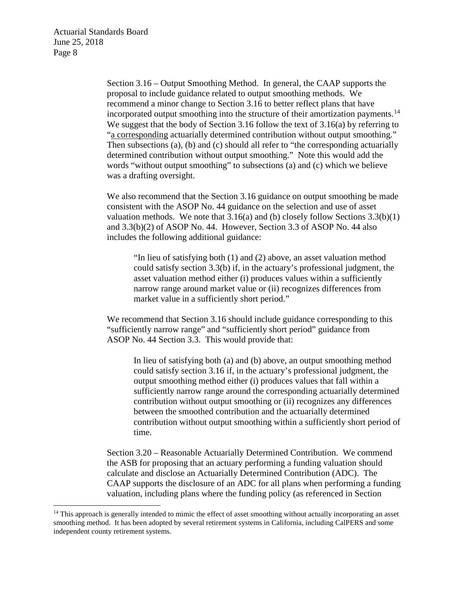Section 3.16 – Output Smoothing Method. In general, the CAAP supports the proposal to include guidance related to output smoothing methods. We recommend a minor change to Section 3.16 to better reflect plans that have incorporated output smoothing into the structure of their amortization payments.<sup>14</sup> We suggest that the body of Section 3.16 follow the text of 3.16(a) by referring to "a corresponding actuarially determined contribution without output smoothing." Then subsections (a), (b) and (c) should all refer to "the corresponding actuarially determined contribution without output smoothing." Note this would add the words "without output smoothing" to subsections (a) and (c) which we believe was a drafting oversight.

We also recommend that the Section 3.16 guidance on output smoothing be made consistent with the ASOP No. 44 guidance on the selection and use of asset valuation methods. We note that  $3.16(a)$  and (b) closely follow Sections  $3.3(b)(1)$ and 3.3(b)(2) of ASOP No. 44. However, Section 3.3 of ASOP No. 44 also includes the following additional guidance:

"In lieu of satisfying both (1) and (2) above, an asset valuation method could satisfy section 3.3(b) if, in the actuary's professional judgment, the asset valuation method either (i) produces values within a sufficiently narrow range around market value or (ii) recognizes differences from market value in a sufficiently short period."

We recommend that Section 3.16 should include guidance corresponding to this "sufficiently narrow range" and "sufficiently short period" guidance from ASOP No. 44 Section 3.3. This would provide that:

In lieu of satisfying both (a) and (b) above, an output smoothing method could satisfy section 3.16 if, in the actuary's professional judgment, the output smoothing method either (i) produces values that fall within a sufficiently narrow range around the corresponding actuarially determined contribution without output smoothing or (ii) recognizes any differences between the smoothed contribution and the actuarially determined contribution without output smoothing within a sufficiently short period of time.

Section 3.20 – Reasonable Actuarially Determined Contribution. We commend the ASB for proposing that an actuary performing a funding valuation should calculate and disclose an Actuarially Determined Contribution (ADC). The CAAP supports the disclosure of an ADC for all plans when performing a funding valuation, including plans where the funding policy (as referenced in Section

<span id="page-7-0"></span><sup>&</sup>lt;sup>14</sup> This approach is generally intended to mimic the effect of asset smoothing without actually incorporating an asset smoothing method. It has been adopted by several retirement systems in California, including CalPERS and some independent county retirement systems.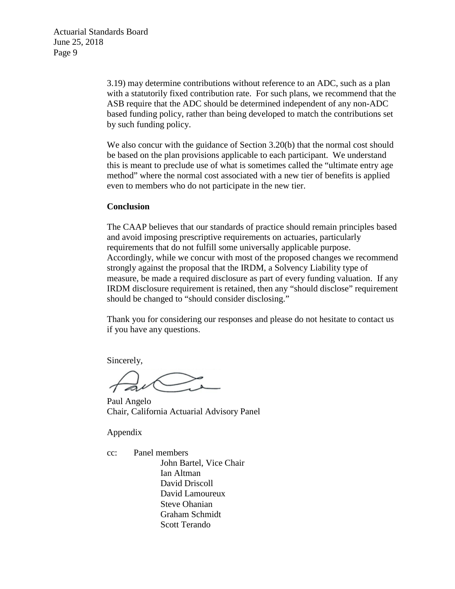3.19) may determine contributions without reference to an ADC, such as a plan with a statutorily fixed contribution rate. For such plans, we recommend that the ASB require that the ADC should be determined independent of any non-ADC based funding policy, rather than being developed to match the contributions set by such funding policy.

We also concur with the guidance of Section 3.20(b) that the normal cost should be based on the plan provisions applicable to each participant. We understand this is meant to preclude use of what is sometimes called the "ultimate entry age method" where the normal cost associated with a new tier of benefits is applied even to members who do not participate in the new tier.

### **Conclusion**

The CAAP believes that our standards of practice should remain principles based and avoid imposing prescriptive requirements on actuaries, particularly requirements that do not fulfill some universally applicable purpose. Accordingly, while we concur with most of the proposed changes we recommend strongly against the proposal that the IRDM, a Solvency Liability type of measure, be made a required disclosure as part of every funding valuation. If any IRDM disclosure requirement is retained, then any "should disclose" requirement should be changed to "should consider disclosing."

Thank you for considering our responses and please do not hesitate to contact us if you have any questions.

Sincerely,

Paul Angelo Chair, California Actuarial Advisory Panel

Appendix

cc: Panel members John Bartel, Vice Chair Ian Altman David Driscoll David Lamoureux Steve Ohanian Graham Schmidt Scott Terando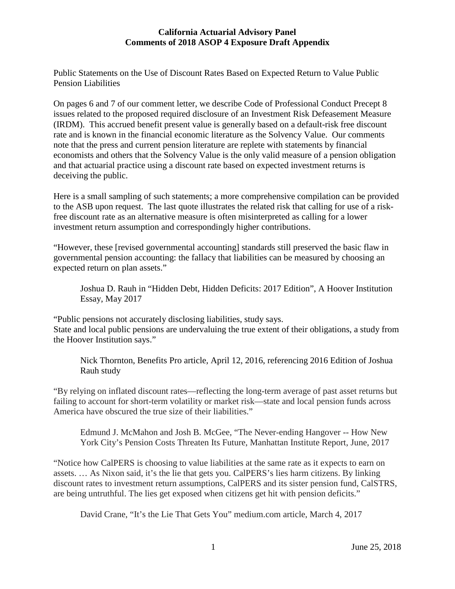### **California Actuarial Advisory Panel Comments of 2018 ASOP 4 Exposure Draft Appendix**

Public Statements on the Use of Discount Rates Based on Expected Return to Value Public Pension Liabilities

On pages 6 and 7 of our comment letter, we describe Code of Professional Conduct Precept 8 issues related to the proposed required disclosure of an Investment Risk Defeasement Measure (IRDM). This accrued benefit present value is generally based on a default-risk free discount rate and is known in the financial economic literature as the Solvency Value. Our comments note that the press and current pension literature are replete with statements by financial economists and others that the Solvency Value is the only valid measure of a pension obligation and that actuarial practice using a discount rate based on expected investment returns is deceiving the public.

Here is a small sampling of such statements; a more comprehensive compilation can be provided to the ASB upon request. The last quote illustrates the related risk that calling for use of a riskfree discount rate as an alternative measure is often misinterpreted as calling for a lower investment return assumption and correspondingly higher contributions.

"However, these [revised governmental accounting] standards still preserved the basic flaw in governmental pension accounting: the fallacy that liabilities can be measured by choosing an expected return on plan assets."

Joshua D. Rauh in "Hidden Debt, Hidden Deficits: 2017 Edition", A Hoover Institution Essay, May 2017

"Public pensions not accurately disclosing liabilities, study says. State and local public pensions are undervaluing the true extent of their obligations, a study from the Hoover Institution says."

Nick Thornton, Benefits Pro article, April 12, 2016, referencing 2016 Edition of Joshua Rauh study

"By relying on inflated discount rates—reflecting the long-term average of past asset returns but failing to account for short-term volatility or market risk—state and local pension funds across America have obscured the true size of their liabilities."

Edmund J. McMahon and Josh B. McGee, "The Never-ending Hangover -- How New York City's Pension Costs Threaten Its Future, Manhattan Institute Report, June, 2017

"Notice how CalPERS is choosing to value liabilities at the same rate as it expects to earn on assets. … As Nixon said, it's the lie that gets you. CalPERS's lies harm citizens. By linking discount rates to investment return assumptions, CalPERS and its sister pension fund, CalSTRS, are being untruthful. The lies get exposed when citizens get hit with pension deficits."

David Crane, "It's the Lie That Gets You" medium.com article, March 4, 2017